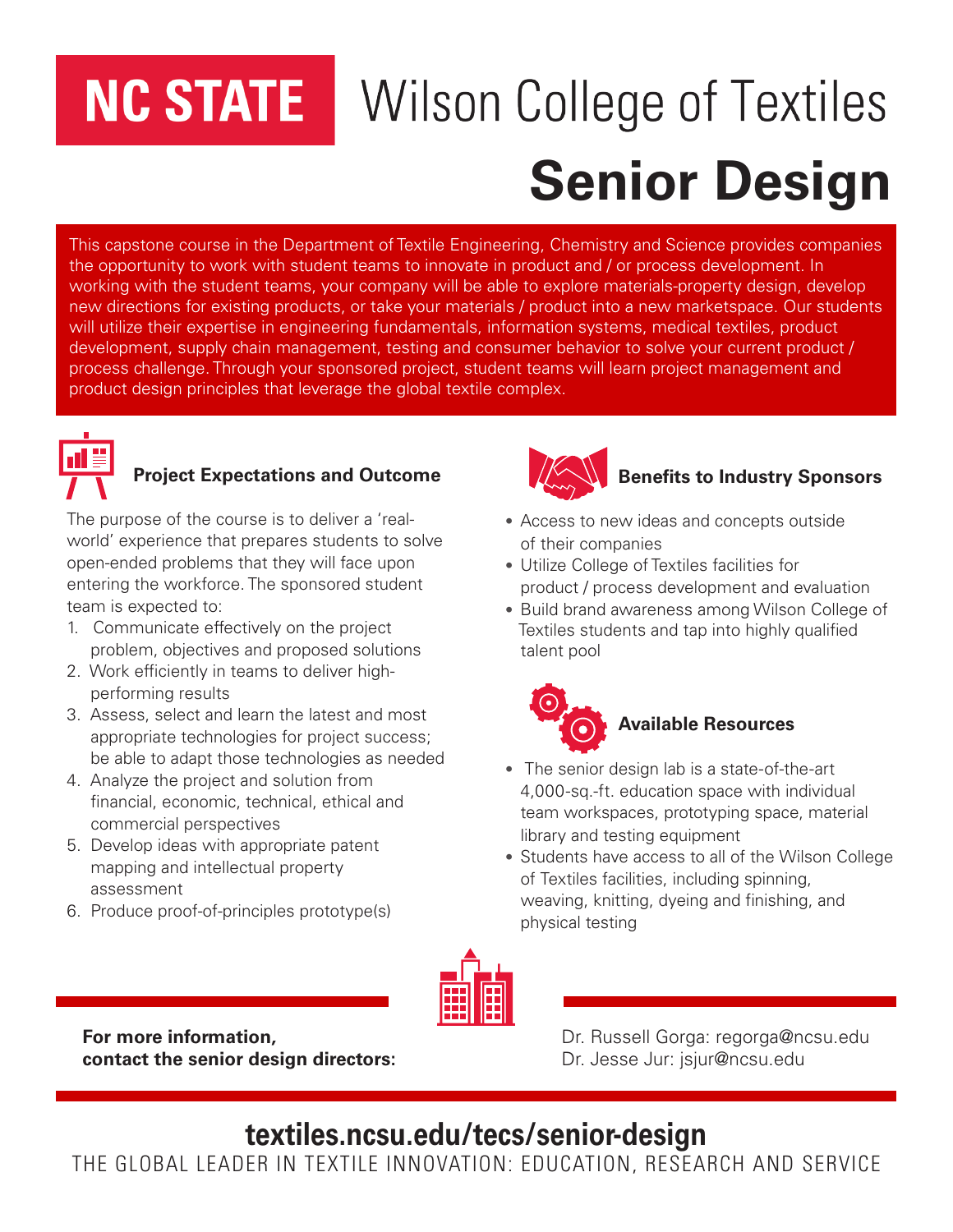## **NC STATE**

# **Wilson College of Textiles Senior Design**

This capstone course in the Department of Textile Engineering, Chemistry and Science provides companies the opportunity to work with student teams to innovate in product and / or process development. In working with the student teams, your company will be able to explore materials-property design, develop new directions for existing products, or take your materials / product into a new marketspace. Our students will utilize their expertise in engineering fundamentals, information systems, medical textiles, product development, supply chain management, testing and consumer behavior to solve your current product / process challenge. Through your sponsored project, student teams will learn project management and product design principles that leverage the global textile complex.



#### **Project Expectations and Outcome**

The purpose of the course is to deliver a 'realworld' experience that prepares students to solve open-ended problems that they will face upon entering the workforce. The sponsored student team is expected to:

- 1. Communicate effectively on the project problem, objectives and proposed solutions
- 2. Work efficiently in teams to deliver high performing results
- 3. Assess, select and learn the latest and most appropriate technologies for project success; be able to adapt those technologies as needed
- 4. Analyze the project and solution from financial, economic, technical, ethical and commercial perspectives
- 5. Develop ideas with appropriate patent mapping and intellectual property assessment
- 6. Produce proof-of-principles prototype(s)



#### **Benefits to Industry Sponsors**

- Access to new ideas and concepts outside of their companies
- Utilize College of Textiles facilities for product / process development and evaluation
- Build brand awareness among Wilson College of Textiles students and tap into highly qualified talent pool



- The senior design lab is a state-of-the-art 4,000-sq.-ft. education space with individual team workspaces, prototyping space, material library and testing equipment
- Students have access to all of the Wilson College of Textiles facilities, including spinning, weaving, knitting, dyeing and finishing, and physical testing



**For more information, Exercise 2018** Dr. Russell Gorga: regorga@ncsu.edu **contact the senior design directors:** Dr. Jesse Jur: jsjur@ncsu.edu

### **textiles.ncsu.edu/tecs/senior-design**

THE GLOBAL LEADER IN TEXTILE INNOVATION: EDUCATION, RESEARCH AND SERVICE